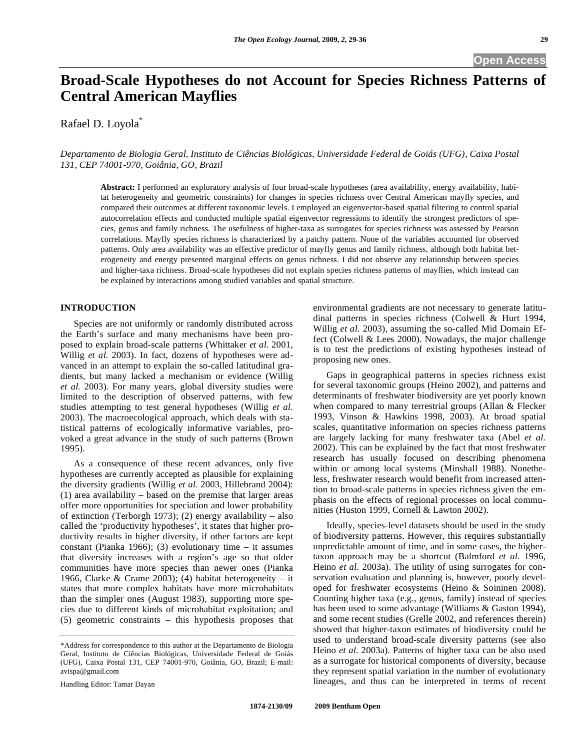# **Broad-Scale Hypotheses do not Account for Species Richness Patterns of Central American Mayflies**

Rafael D. Loyola<sup>\*</sup>

## *Departamento de Biologia Geral, Instituto de Ciências Biológicas, Universidade Federal de Goiás (UFG), Caixa Postal 131, CEP 74001-970, Goiânia, GO, Brazil*

**Abstract:** I performed an exploratory analysis of four broad-scale hypotheses (area availability, energy availability, habitat heterogeneity and geometric constraints) for changes in species richness over Central American mayfly species, and compared their outcomes at different taxonomic levels. I employed an eigenvector-based spatial filtering to control spatial autocorrelation effects and conducted multiple spatial eigenvector regressions to identify the strongest predictors of species, genus and family richness. The usefulness of higher-taxa as surrogates for species richness was assessed by Pearson correlations. Mayfly species richness is characterized by a patchy pattern. None of the variables accounted for observed patterns. Only area availability was an effective predictor of mayfly genus and family richness, although both habitat heterogeneity and energy presented marginal effects on genus richness. I did not observe any relationship between species and higher-taxa richness. Broad-scale hypotheses did not explain species richness patterns of mayflies, which instead can be explained by interactions among studied variables and spatial structure.

# **INTRODUCTION**

 Species are not uniformly or randomly distributed across the Earth's surface and many mechanisms have been proposed to explain broad-scale patterns (Whittaker *et al.* 2001, Willig *et al.* 2003). In fact, dozens of hypotheses were advanced in an attempt to explain the so-called latitudinal gradients, but many lacked a mechanism or evidence (Willig *et al.* 2003). For many years, global diversity studies were limited to the description of observed patterns, with few studies attempting to test general hypotheses (Willig *et al.*  2003). The macroecological approach, which deals with statistical patterns of ecologically informative variables, provoked a great advance in the study of such patterns (Brown 1995).

 As a consequence of these recent advances, only five hypotheses are currently accepted as plausible for explaining the diversity gradients (Willig *et al.* 2003, Hillebrand 2004): (1) area availability – based on the premise that larger areas offer more opportunities for speciation and lower probability of extinction (Terborgh 1973); (2) energy availability – also called the 'productivity hypotheses', it states that higher productivity results in higher diversity, if other factors are kept constant (Pianka 1966); (3) evolutionary time  $-$  it assumes that diversity increases with a region's age so that older communities have more species than newer ones (Pianka 1966, Clarke & Crame 2003); (4) habitat heterogeneity – it states that more complex habitats have more microhabitats than the simpler ones (August 1983), supporting more species due to different kinds of microhabitat exploitation; and (5) geometric constraints – this hypothesis proposes that

Handling Editor: Tamar Dayan

environmental gradients are not necessary to generate latitudinal patterns in species richness (Colwell & Hurt 1994, Willig *et al.* 2003), assuming the so-called Mid Domain Effect (Colwell & Lees 2000). Nowadays, the major challenge is to test the predictions of existing hypotheses instead of proposing new ones.

 Gaps in geographical patterns in species richness exist for several taxonomic groups (Heino 2002), and patterns and determinants of freshwater biodiversity are yet poorly known when compared to many terrestrial groups (Allan & Flecker 1993, Vinson & Hawkins 1998, 2003). At broad spatial scales, quantitative information on species richness patterns are largely lacking for many freshwater taxa (Abel *et al.*  2002). This can be explained by the fact that most freshwater research has usually focused on describing phenomena within or among local systems (Minshall 1988). Nonetheless, freshwater research would benefit from increased attention to broad-scale patterns in species richness given the emphasis on the effects of regional processes on local communities (Huston 1999, Cornell & Lawton 2002).

 Ideally, species-level datasets should be used in the study of biodiversity patterns. However, this requires substantially unpredictable amount of time, and in some cases, the highertaxon approach may be a shortcut (Balmford *et al.* 1996, Heino *et al.* 2003a). The utility of using surrogates for conservation evaluation and planning is, however, poorly developed for freshwater ecosystems (Heino & Soininen 2008). Counting higher taxa (e.g., genus, family) instead of species has been used to some advantage (Williams & Gaston 1994), and some recent studies (Grelle 2002, and references therein) showed that higher-taxon estimates of biodiversity could be used to understand broad-scale diversity patterns (see also Heino *et al.* 2003a). Patterns of higher taxa can be also used as a surrogate for historical components of diversity, because they represent spatial variation in the number of evolutionary lineages, and thus can be interpreted in terms of recent

<sup>\*</sup>Address for correspondence to this author at the Departamento de Biologia Geral, Instituto de Ciências Biológicas, Universidade Federal de Goiás (UFG), Caixa Postal 131, CEP 74001-970, Goiânia, GO, Brazil; E-mail: avispa@gmail.com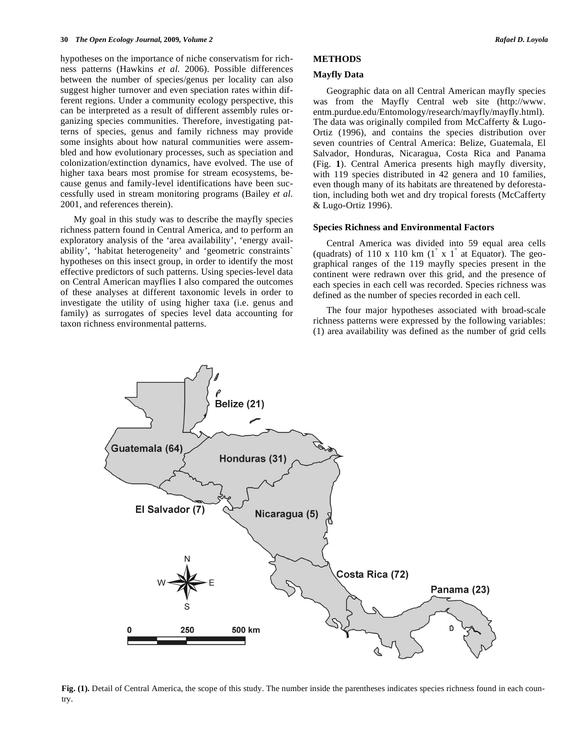hypotheses on the importance of niche conservatism for richness patterns (Hawkins *et al.* 2006). Possible differences between the number of species/genus per locality can also suggest higher turnover and even speciation rates within different regions. Under a community ecology perspective, this can be interpreted as a result of different assembly rules organizing species communities. Therefore, investigating patterns of species, genus and family richness may provide some insights about how natural communities were assembled and how evolutionary processes, such as speciation and colonization/extinction dynamics, have evolved. The use of higher taxa bears most promise for stream ecosystems, because genus and family-level identifications have been successfully used in stream monitoring programs (Bailey *et al.*  2001, and references therein).

 My goal in this study was to describe the mayfly species richness pattern found in Central America, and to perform an exploratory analysis of the 'area availability', 'energy availability', 'habitat heterogeneity' and 'geometric constraints` hypotheses on this insect group, in order to identify the most effective predictors of such patterns. Using species-level data on Central American mayflies I also compared the outcomes of these analyses at different taxonomic levels in order to investigate the utility of using higher taxa (i.e. genus and family) as surrogates of species level data accounting for taxon richness environmental patterns.

## **METHODS**

#### **Mayfly Data**

 Geographic data on all Central American mayfly species was from the Mayfly Central web site (http://www. entm.purdue.edu/Entomology/research/mayfly/mayfly.html). The data was originally compiled from McCafferty & Lugo-Ortiz (1996), and contains the species distribution over seven countries of Central America: Belize, Guatemala, El Salvador, Honduras, Nicaragua, Costa Rica and Panama (Fig. **1**). Central America presents high mayfly diversity, with 119 species distributed in 42 genera and 10 families, even though many of its habitats are threatened by deforestation, including both wet and dry tropical forests (McCafferty & Lugo-Ortiz 1996).

#### **Species Richness and Environmental Factors**

 Central America was divided into 59 equal area cells (quadrats) of 110 x 110 km  $(1^{\degree} x 1^{\degree}$  at Equator). The geographical ranges of the 119 mayfly species present in the continent were redrawn over this grid, and the presence of each species in each cell was recorded. Species richness was defined as the number of species recorded in each cell.

 The four major hypotheses associated with broad-scale richness patterns were expressed by the following variables: (1) area availability was defined as the number of grid cells



**Fig. (1).** Detail of Central America, the scope of this study. The number inside the parentheses indicates species richness found in each country.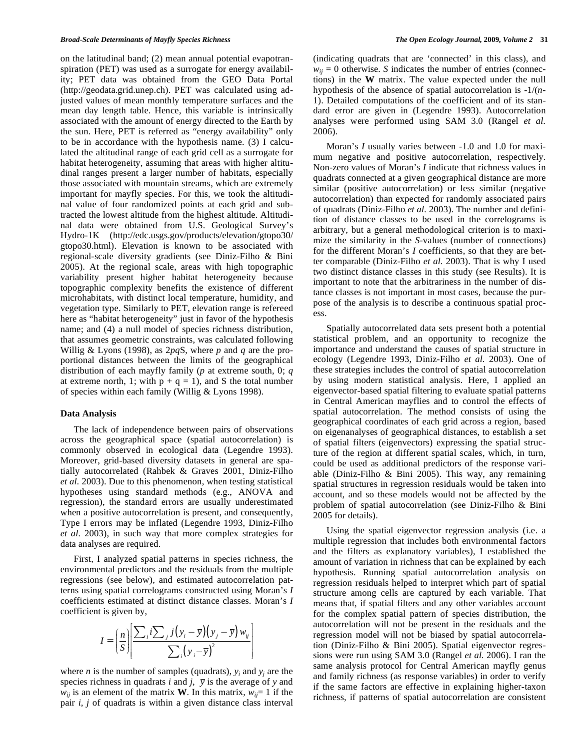on the latitudinal band; (2) mean annual potential evapotranspiration (PET) was used as a surrogate for energy availability; PET data was obtained from the GEO Data Portal (http://geodata.grid.unep.ch). PET was calculated using adjusted values of mean monthly temperature surfaces and the mean day length table. Hence, this variable is intrinsically associated with the amount of energy directed to the Earth by the sun. Here, PET is referred as "energy availability" only to be in accordance with the hypothesis name. (3) I calculated the altitudinal range of each grid cell as a surrogate for habitat heterogeneity, assuming that areas with higher altitudinal ranges present a larger number of habitats, especially those associated with mountain streams, which are extremely important for mayfly species. For this, we took the altitudinal value of four randomized points at each grid and subtracted the lowest altitude from the highest altitude. Altitudinal data were obtained from U.S. Geological Survey's Hydro-1K (http://edc.usgs.gov/products/elevation/gtopo30/ gtopo30.html). Elevation is known to be associated with regional-scale diversity gradients (see Diniz-Filho & Bini 2005). At the regional scale, areas with high topographic variability present higher habitat heterogeneity because topographic complexity benefits the existence of different microhabitats, with distinct local temperature, humidity, and vegetation type. Similarly to PET, elevation range is refereed here as "habitat heterogeneity" just in favor of the hypothesis name; and (4) a null model of species richness distribution, that assumes geometric constraints, was calculated following Willig & Lyons (1998), as 2*pq*S, where *p* and *q* are the proportional distances between the limits of the geographical distribution of each mayfly family (*p* at extreme south, 0; *q* at extreme north, 1; with  $p + q = 1$ ), and S the total number of species within each family (Willig & Lyons 1998).

#### **Data Analysis**

 The lack of independence between pairs of observations across the geographical space (spatial autocorrelation) is commonly observed in ecological data (Legendre 1993). Moreover, grid-based diversity datasets in general are spatially autocorrelated (Rahbek & Graves 2001, Diniz-Filho *et al.* 2003). Due to this phenomenon, when testing statistical hypotheses using standard methods (e.g., ANOVA and regression), the standard errors are usually underestimated when a positive autocorrelation is present, and consequently, Type I errors may be inflated (Legendre 1993, Diniz-Filho *et al.* 2003), in such way that more complex strategies for data analyses are required.

 First, I analyzed spatial patterns in species richness, the environmental predictors and the residuals from the multiple regressions (see below), and estimated autocorrelation patterns using spatial correlograms constructed using Moran's *I* coefficients estimated at distinct distance classes. Moran's *I* coefficient is given by,

$$
I = \left(\frac{n}{S}\right) \left[ \frac{\sum_{i} i \sum_{j} j(y_{i} - \overline{y})(y_{j} - \overline{y})w_{ij}}{\sum_{i} (y_{i} - \overline{y})^{2}}\right]
$$

where *n* is the number of samples (quadrats),  $y_i$  and  $y_j$  are the species richness in quadrats *i* and *j*,  $\overline{y}$  is the average of *y* and  $w_{ij}$  is an element of the matrix **W**. In this matrix,  $w_{ij} = 1$  if the pair *i*, *j* of quadrats is within a given distance class interval (indicating quadrats that are 'connected' in this class), and  $w_{ii} = 0$  otherwise. *S* indicates the number of entries (connections) in the **W** matrix. The value expected under the null hypothesis of the absence of spatial autocorrelation is -1/(*n*-1). Detailed computations of the coefficient and of its standard error are given in (Legendre 1993). Autocorrelation analyses were performed using SAM 3.0 (Rangel *et al.*  2006).

Moran's *I* usually varies between -1.0 and 1.0 for maximum negative and positive autocorrelation, respectively. Non-zero values of Moran's *I* indicate that richness values in quadrats connected at a given geographical distance are more similar (positive autocorrelation) or less similar (negative autocorrelation) than expected for randomly associated pairs of quadrats (Diniz-Filho *et al.* 2003). The number and definition of distance classes to be used in the correlograms is arbitrary, but a general methodological criterion is to maximize the similarity in the *S*-values (number of connections) for the different Moran's *I* coefficients, so that they are better comparable (Diniz-Filho *et al.* 2003). That is why I used two distinct distance classes in this study (see Results). It is important to note that the arbitrariness in the number of distance classes is not important in most cases, because the purpose of the analysis is to describe a continuous spatial process.

 Spatially autocorrelated data sets present both a potential statistical problem, and an opportunity to recognize the importance and understand the causes of spatial structure in ecology (Legendre 1993, Diniz-Filho *et al.* 2003). One of these strategies includes the control of spatial autocorrelation by using modern statistical analysis. Here, I applied an eigenvector-based spatial filtering to evaluate spatial patterns in Central American mayflies and to control the effects of spatial autocorrelation. The method consists of using the geographical coordinates of each grid across a region, based on eigenanalyses of geographical distances, to establish a set of spatial filters (eigenvectors) expressing the spatial structure of the region at different spatial scales, which, in turn, could be used as additional predictors of the response variable (Diniz-Filho & Bini 2005). This way, any remaining spatial structures in regression residuals would be taken into account, and so these models would not be affected by the problem of spatial autocorrelation (see Diniz-Filho & Bini 2005 for details).

 Using the spatial eigenvector regression analysis (i.e. a multiple regression that includes both environmental factors and the filters as explanatory variables), I established the amount of variation in richness that can be explained by each hypothesis. Running spatial autocorrelation analysis on regression residuals helped to interpret which part of spatial structure among cells are captured by each variable. That means that, if spatial filters and any other variables account for the complex spatial pattern of species distribution, the autocorrelation will not be present in the residuals and the regression model will not be biased by spatial autocorrelation (Diniz-Filho & Bini 2005). Spatial eigenvector regressions were run using SAM 3.0 (Rangel *et al.* 2006). I ran the same analysis protocol for Central American mayfly genus and family richness (as response variables) in order to verify if the same factors are effective in explaining higher-taxon richness, if patterns of spatial autocorrelation are consistent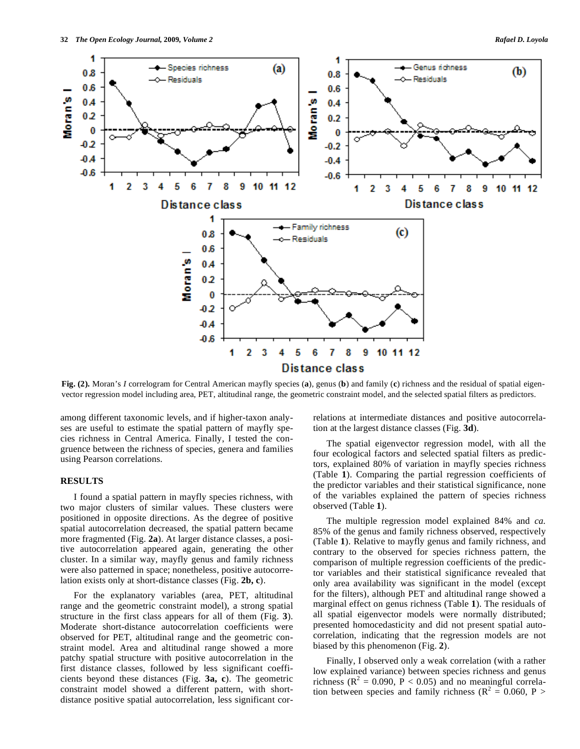

**Fig. (2).** Moran's *I* correlogram for Central American mayfly species (**a**), genus (**b**) and family (**c**) richness and the residual of spatial eigenvector regression model including area, PET, altitudinal range, the geometric constraint model, and the selected spatial filters as predictors.

among different taxonomic levels, and if higher-taxon analyses are useful to estimate the spatial pattern of mayfly species richness in Central America. Finally, I tested the congruence between the richness of species, genera and families using Pearson correlations.

#### **RESULTS**

 I found a spatial pattern in mayfly species richness, with two major clusters of similar values. These clusters were positioned in opposite directions. As the degree of positive spatial autocorrelation decreased, the spatial pattern became more fragmented (Fig. **2a**). At larger distance classes, a positive autocorrelation appeared again, generating the other cluster. In a similar way, mayfly genus and family richness were also patterned in space; nonetheless, positive autocorrelation exists only at short-distance classes (Fig. **2b, c**).

 For the explanatory variables (area, PET, altitudinal range and the geometric constraint model), a strong spatial structure in the first class appears for all of them (Fig. **3**). Moderate short-distance autocorrelation coefficients were observed for PET, altitudinal range and the geometric constraint model. Area and altitudinal range showed a more patchy spatial structure with positive autocorrelation in the first distance classes, followed by less significant coefficients beyond these distances (Fig. **3a, c**). The geometric constraint model showed a different pattern, with shortdistance positive spatial autocorrelation, less significant correlations at intermediate distances and positive autocorrelation at the largest distance classes (Fig. **3d**).

 The spatial eigenvector regression model, with all the four ecological factors and selected spatial filters as predictors, explained 80% of variation in mayfly species richness (Table **1**). Comparing the partial regression coefficients of the predictor variables and their statistical significance, none of the variables explained the pattern of species richness observed (Table **1**).

 The multiple regression model explained 84% and *ca.* 85% of the genus and family richness observed, respectively (Table **1**). Relative to mayfly genus and family richness, and contrary to the observed for species richness pattern, the comparison of multiple regression coefficients of the predictor variables and their statistical significance revealed that only area availability was significant in the model (except for the filters), although PET and altitudinal range showed a marginal effect on genus richness (Table **1**). The residuals of all spatial eigenvector models were normally distributed; presented homocedasticity and did not present spatial autocorrelation, indicating that the regression models are not biased by this phenomenon (Fig. **2**).

 Finally, I observed only a weak correlation (with a rather low explained variance) between species richness and genus richness ( $R^2 = 0.090$ ,  $P < 0.05$ ) and no meaningful correlation between species and family richness ( $R^2 = 0.060$ , P >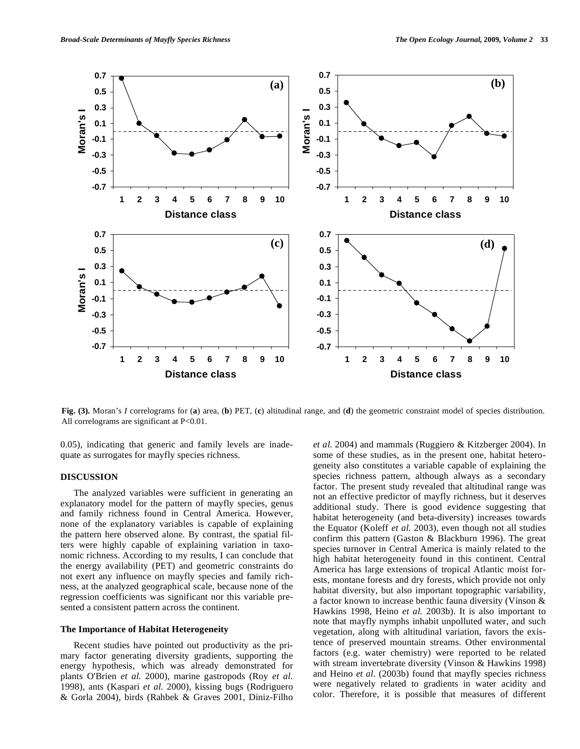

**Fig. (3).** Moran's *I* correlograms for (**a**) area, (**b**) PET, (**c**) altitudinal range, and (**d**) the geometric constraint model of species distribution. All correlograms are significant at P<0.01.

0.05), indicating that generic and family levels are inadequate as surrogates for mayfly species richness.

#### **DISCUSSION**

 The analyzed variables were sufficient in generating an explanatory model for the pattern of mayfly species, genus and family richness found in Central America. However, none of the explanatory variables is capable of explaining the pattern here observed alone. By contrast, the spatial filters were highly capable of explaining variation in taxonomic richness. According to my results, I can conclude that the energy availability (PET) and geometric constraints do not exert any influence on mayfly species and family richness, at the analyzed geographical scale, because none of the regression coefficients was significant nor this variable presented a consistent pattern across the continent.

## **The Importance of Habitat Heterogeneity**

 Recent studies have pointed out productivity as the primary factor generating diversity gradients, supporting the energy hypothesis, which was already demonstrated for plants O'Brien *et al.* 2000), marine gastropods (Roy *et al.*  1998), ants (Kaspari *et al.* 2000), kissing bugs (Rodriguero & Gorla 2004), birds (Rahbek & Graves 2001, Diniz-Filho *et al.* 2004) and mammals (Ruggiero & Kitzberger 2004). In some of these studies, as in the present one, habitat heterogeneity also constitutes a variable capable of explaining the species richness pattern, although always as a secondary factor. The present study revealed that altitudinal range was not an effective predictor of mayfly richness, but it deserves additional study. There is good evidence suggesting that habitat heterogeneity (and beta-diversity) increases towards the Equator (Koleff *et al.* 2003), even though not all studies confirm this pattern (Gaston & Blackburn 1996). The great species turnover in Central America is mainly related to the high habitat heterogeneity found in this continent. Central America has large extensions of tropical Atlantic moist forests, montane forests and dry forests, which provide not only habitat diversity, but also important topographic variability, a factor known to increase benthic fauna diversity (Vinson & Hawkins 1998, Heino *et al.* 2003b). It is also important to note that mayfly nymphs inhabit unpolluted water, and such vegetation, along with altitudinal variation, favors the existence of preserved mountain streams. Other environmental factors (e.g. water chemistry) were reported to be related with stream invertebrate diversity (Vinson & Hawkins 1998) and Heino *et al.* (2003b) found that mayfly species richness were negatively related to gradients in water acidity and color. Therefore, it is possible that measures of different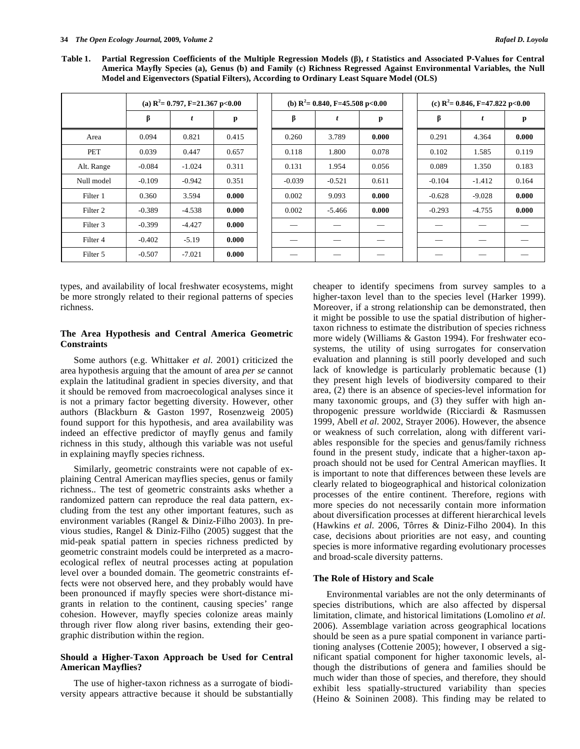**Table 1. Partial Regression Coefficients of the Multiple Regression Models (),** *t* **Statistics and Associated P-Values for Central America Mayfly Species (a), Genus (b) and Family (c) Richness Regressed Against Environmental Variables, the Null Model and Eigenvectors (Spatial Filters), According to Ordinary Least Square Model (OLS)** 

|            | (a) $R^2$ = 0.797, F=21.367 p<0.00 |          |       |  | (b) $R^2$ = 0.840, F=45.508 p<0.00 |          |       | (c) $R^2$ = 0.846, F=47.822 p<0.00 |          |       |
|------------|------------------------------------|----------|-------|--|------------------------------------|----------|-------|------------------------------------|----------|-------|
|            | β                                  |          | p     |  | β                                  |          | p     | β                                  |          | р     |
| Area       | 0.094                              | 0.821    | 0.415 |  | 0.260                              | 3.789    | 0.000 | 0.291                              | 4.364    | 0.000 |
| PET        | 0.039                              | 0.447    | 0.657 |  | 0.118                              | 1.800    | 0.078 | 0.102                              | 1.585    | 0.119 |
| Alt. Range | $-0.084$                           | $-1.024$ | 0.311 |  | 0.131                              | 1.954    | 0.056 | 0.089                              | 1.350    | 0.183 |
| Null model | $-0.109$                           | $-0.942$ | 0.351 |  | $-0.039$                           | $-0.521$ | 0.611 | $-0.104$                           | $-1.412$ | 0.164 |
| Filter 1   | 0.360                              | 3.594    | 0.000 |  | 0.002                              | 9.093    | 0.000 | $-0.628$                           | $-9.028$ | 0.000 |
| Filter 2   | $-0.389$                           | $-4.538$ | 0.000 |  | 0.002                              | $-5.466$ | 0.000 | $-0.293$                           | $-4.755$ | 0.000 |
| Filter 3   | $-0.399$                           | $-4.427$ | 0.000 |  |                                    |          |       |                                    |          |       |
| Filter 4   | $-0.402$                           | $-5.19$  | 0.000 |  |                                    |          | __    |                                    |          |       |
| Filter 5   | $-0.507$                           | $-7.021$ | 0.000 |  |                                    |          |       |                                    |          | __    |

types, and availability of local freshwater ecosystems, might be more strongly related to their regional patterns of species richness.

#### **The Area Hypothesis and Central America Geometric Constraints**

 Some authors (e.g. Whittaker *et al.* 2001) criticized the area hypothesis arguing that the amount of area *per se* cannot explain the latitudinal gradient in species diversity, and that it should be removed from macroecological analyses since it is not a primary factor begetting diversity. However, other authors (Blackburn & Gaston 1997, Rosenzweig 2005) found support for this hypothesis, and area availability was indeed an effective predictor of mayfly genus and family richness in this study, although this variable was not useful in explaining mayfly species richness.

Similarly, geometric constraints were not capable of explaining Central American mayflies species, genus or family richness.. The test of geometric constraints asks whether a randomized pattern can reproduce the real data pattern, excluding from the test any other important features, such as environment variables (Rangel & Diniz-Filho 2003). In previous studies, Rangel & Diniz-Filho (2005) suggest that the mid-peak spatial pattern in species richness predicted by geometric constraint models could be interpreted as a macroecological reflex of neutral processes acting at population level over a bounded domain. The geometric constraints effects were not observed here, and they probably would have been pronounced if mayfly species were short-distance migrants in relation to the continent, causing species' range cohesion. However, mayfly species colonize areas mainly through river flow along river basins, extending their geographic distribution within the region.

## **Should a Higher-Taxon Approach be Used for Central American Mayflies?**

 The use of higher-taxon richness as a surrogate of biodiversity appears attractive because it should be substantially cheaper to identify specimens from survey samples to a higher-taxon level than to the species level (Harker 1999). Moreover, if a strong relationship can be demonstrated, then it might be possible to use the spatial distribution of highertaxon richness to estimate the distribution of species richness more widely (Williams & Gaston 1994). For freshwater ecosystems, the utility of using surrogates for conservation evaluation and planning is still poorly developed and such lack of knowledge is particularly problematic because (1) they present high levels of biodiversity compared to their area, (2) there is an absence of species-level information for many taxonomic groups, and (3) they suffer with high anthropogenic pressure worldwide (Ricciardi & Rasmussen 1999, Abell *et al.* 2002, Strayer 2006). However, the absence or weakness of such correlation, along with different variables responsible for the species and genus/family richness found in the present study, indicate that a higher-taxon approach should not be used for Central American mayflies. It is important to note that differences between these levels are clearly related to biogeographical and historical colonization processes of the entire continent. Therefore, regions with more species do not necessarily contain more information about diversification processes at different hierarchical levels (Hawkins *et al.* 2006, Tôrres & Diniz-Filho 2004). In this case, decisions about priorities are not easy, and counting species is more informative regarding evolutionary processes and broad-scale diversity patterns.

#### **The Role of History and Scale**

 Environmental variables are not the only determinants of species distributions, which are also affected by dispersal limitation, climate, and historical limitations (Lomolino *et al.*  2006). Assemblage variation across geographical locations should be seen as a pure spatial component in variance partitioning analyses (Cottenie 2005); however, I observed a significant spatial component for higher taxonomic levels, although the distributions of genera and families should be much wider than those of species, and therefore, they should exhibit less spatially-structured variability than species (Heino & Soininen 2008). This finding may be related to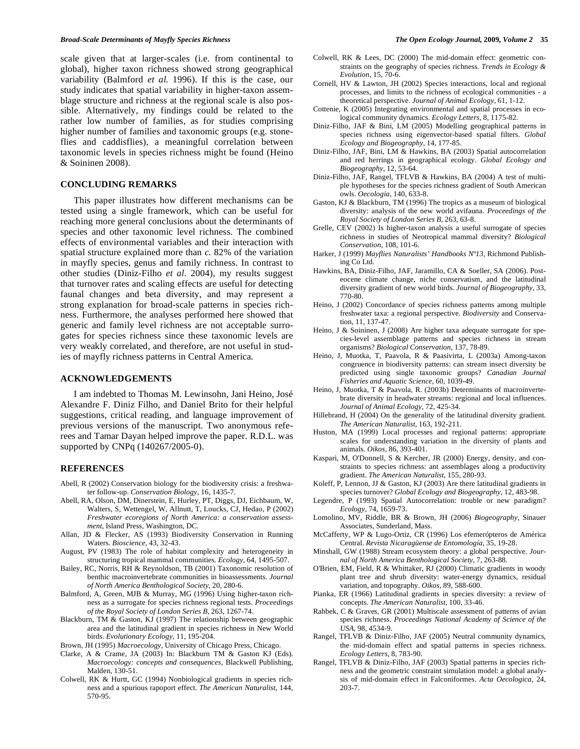scale given that at larger-scales (i.e. from continental to global), higher taxon richness showed strong geographical variability (Balmford *et al.* 1996). If this is the case, our study indicates that spatial variability in higher-taxon assemblage structure and richness at the regional scale is also possible. Alternatively, my findings could be related to the rather low number of families, as for studies comprising higher number of families and taxonomic groups (e.g. stoneflies and caddisflies), a meaningful correlation between taxonomic levels in species richness might be found (Heino & Soininen 2008).

## **CONCLUDING REMARKS**

 This paper illustrates how different mechanisms can be tested using a single framework, which can be useful for reaching more general conclusions about the determinants of species and other taxonomic level richness. The combined effects of environmental variables and their interaction with spatial structure explained more than *c.* 82% of the variation in mayfly species, genus and family richness. In contrast to other studies (Diniz-Filho *et al.* 2004), my results suggest that turnover rates and scaling effects are useful for detecting faunal changes and beta diversity, and may represent a strong explanation for broad-scale patterns in species richness. Furthermore, the analyses performed here showed that generic and family level richness are not acceptable surrogates for species richness since these taxonomic levels are very weakly correlated, and therefore, are not useful in studies of mayfly richness patterns in Central America.

#### **ACKNOWLEDGEMENTS**

 I am indebted to Thomas M. Lewinsohn, Jani Heino, José Alexandre F. Diniz Filho, and Daniel Brito for their helpful suggestions, critical reading, and language improvement of previous versions of the manuscript. Two anonymous referees and Tamar Dayan helped improve the paper. R.D.L. was supported by CNPq (140267/2005-0).

## **REFERENCES**

- Abell, R (2002) Conservation biology for the biodiversity crisis: a freshwater follow-up. *Conservation Biology*, 16, 1435-7.
- Abell, RA, Olson, DM, Dinerstein, E, Hurley, PT, Diggs, DJ, Eichbaum, W, Walters, S, Wettengel, W, Allnutt, T, Loucks, CJ, Hedao, P (2002) *Freshwater ecoregions of North America: a conservation assessment*, Island Press, Washington, DC.
- Allan, JD & Flecker, AS (1993) Biodiversity Conservation in Running Waters. *Bioscience*, 43, 32-43.
- August, PV (1983) The role of habitat complexity and heterogeneity in structuring tropical mammal communities. *Ecology*, 64, 1495-507.
- Bailey, RC, Norris, RH & Reynoldson, TB (2001) Taxonomic resolution of benthic macroinvertebrate communities in bioassessments. *Journal of North America Benthological Society*, 20, 280-6.
- Balmford, A, Green, MJB & Murray, MG (1996) Using higher-taxon richness as a surrogate for species richness regional tests. *Proceedings of the Royal Society of London Series B*, 263, 1267-74.
- Blackburn, TM & Gaston, KJ (1997) The relationship between geographic area and the latitudinal gradient in species richness in New World birds. *Evolutionary Ecology*, 11, 195-204.
- Brown, JH (1995) *Macroecology*, University of Chicago Press, Chicago.
- Clarke, A & Crame, JA (2003) In: Blackburn TM & Gaston KJ (Eds). *Macroecology: concepts and consequences*, Blackwell Publishing, Malden, 130-51.
- Colwell, RK & Hurtt, GC (1994) Nonbiological gradients in species richness and a spurious rapoport effect. *The American Naturalist*, 144, 570-95.
- Colwell, RK & Lees, DC (2000) The mid-domain effect: geometric constraints on the geography of species richness. *Trends in Ecology & Evolution*, 15, 70-6.
- Cornell, HV & Lawton, JH (2002) Species interactions, local and regional processes, and limits to the richness of ecological communities - a theoretical perspective. *Journal of Animal Ecology*, 61, 1-12.
- Cottenie, K (2005) Integrating environmental and spatial processes in ecological community dynamics. *Ecology Letters*, 8, 1175-82.
- Diniz-Filho, JAF & Bini, LM (2005) Modelling geographical patterns in species richness using eigenvector-based spatial filters. *Global Ecology and Biogeography*, 14, 177-85.
- Diniz-Filho, JAF, Bini, LM & Hawkins, BA (2003) Spatial autocorrelation and red herrings in geographical ecology. *Global Ecology and Biogeography*, 12, 53-64.
- Diniz-Filho, JAF, Rangel, TFLVB & Hawkins, BA (2004) A test of multiple hypotheses for the species richness gradient of South American owls. *Oecologia*, 140, 633-8.
- Gaston, KJ & Blackburn, TM (1996) The tropics as a museum of biological diversity: analysis of the new world avifauna. *Proceedings of the Royal Society of London Series B*, 263, 63-8.
- Grelle, CEV (2002) Is higher-taxon analysis a useful surrogate of species richness in studies of Neotropical mammal diversity? *Biological Conservation*, 108, 101-6.
- Harker, J (1999) *Mayflies Naturalists' Handbooks Nº13*, Richmond Publishing Co Ltd.
- Hawkins, BA, Diniz-Filho, JAF, Jaramillo, CA & Soeller, SA (2006). Posteocene climate change, niche conservatism, and the latitudinal diversity gradient of new world birds. *Journal of Biogeography*, 33, 770-80.
- Heino, J (2002) Concordance of species richness patterns among multiple freshwater taxa: a regional perspective*. Biodiversity* and Conservation, 11, 137-47.
- Heino, J & Soininen, J (2008) Are higher taxa adequate surrogate for species-level assemblage patterns and species richness in stream organisms? *Biological Conservation,* 137, 78-89.
- Heino, J, Muotka, T, Paavola, R & Paasivirta, L (2003a) Among-taxon congruence in biodiversity patterns: can stream insect diversity be predicted using single taxonomic groups? *Canadian Journal Fisheries and Aquatic Science*, 60, 1039-49.
- Heino, J, Muotka, T & Paavola, R. (2003b) Determinants of macroinvertebrate diversity in headwater streams: regional and local influences. *Journal of Animal Ecology,* 72, 425-34.
- Hillebrand, H (2004) On the generality of the latitudinal diversity gradient. *The American Naturalist*, 163, 192-211.
- Huston, MA (1999) Local processes and regional patterns: appropriate scales for understanding variation in the diversity of plants and animals. *Oikos*, 86, 393-401.
- Kaspari, M, O'Donnell, S & Kercher, JR (2000) Energy, density, and constraints to species richness: ant assemblages along a productivity gradient. *The American Naturalist*, 155, 280-93.
- Koleff, P, Lennon, JJ & Gaston, KJ (2003) Are there latitudinal gradients in species turnover? *Global Ecology and Biogeography*, 12, 483-98.
- Legendre, P (1993) Spatial Autocorrelation: trouble or new paradigm? *Ecology*, 74, 1659-73.
- Lomolino, MV, Riddle, BR & Brown, JH (2006) *Biogeography*, Sinauer Associates, Sunderland, Mass.
- McCafferty, WP & Lugo-Ortiz, CR (1996) Los efemerópteros de América Central. *Revista Nicaragüense de Entomología*, 35, 19-28.
- Minshall, GW (1988) Stream ecosystem theory: a global perspective. *Journal of North America Benthological Society*, 7, 263-88.
- O'Brien, EM, Field, R & Whittaker, RJ (2000) Climatic gradients in woody plant tree and shrub diversity: water-energy dynamics, residual variation, and topography. *Oikos*, 89, 588-600.
- Pianka, ER (1966) Latitudinal gradients in species diversity: a review of concepts. *The American Naturalist*, 100, 33-46.
- Rahbek, C & Graves, GR (2001) Multiscale assessment of patterns of avian species richness. *Proceedings National Academy of Science of the USA,* 98, 4534-9.
- Rangel, TFLVB & Diniz-Filho, JAF (2005) Neutral community dynamics, the mid-domain effect and spatial patterns in species richness. *Ecology Letters*, 8, 783-90.
- Rangel, TFLVB & Diniz-Filho, JAF (2003) Spatial patterns in species richness and the geometric constraint simulation model: a global analysis of mid-domain effect in Falconiformes. *Acta Oecologica*, 24, 203-7.